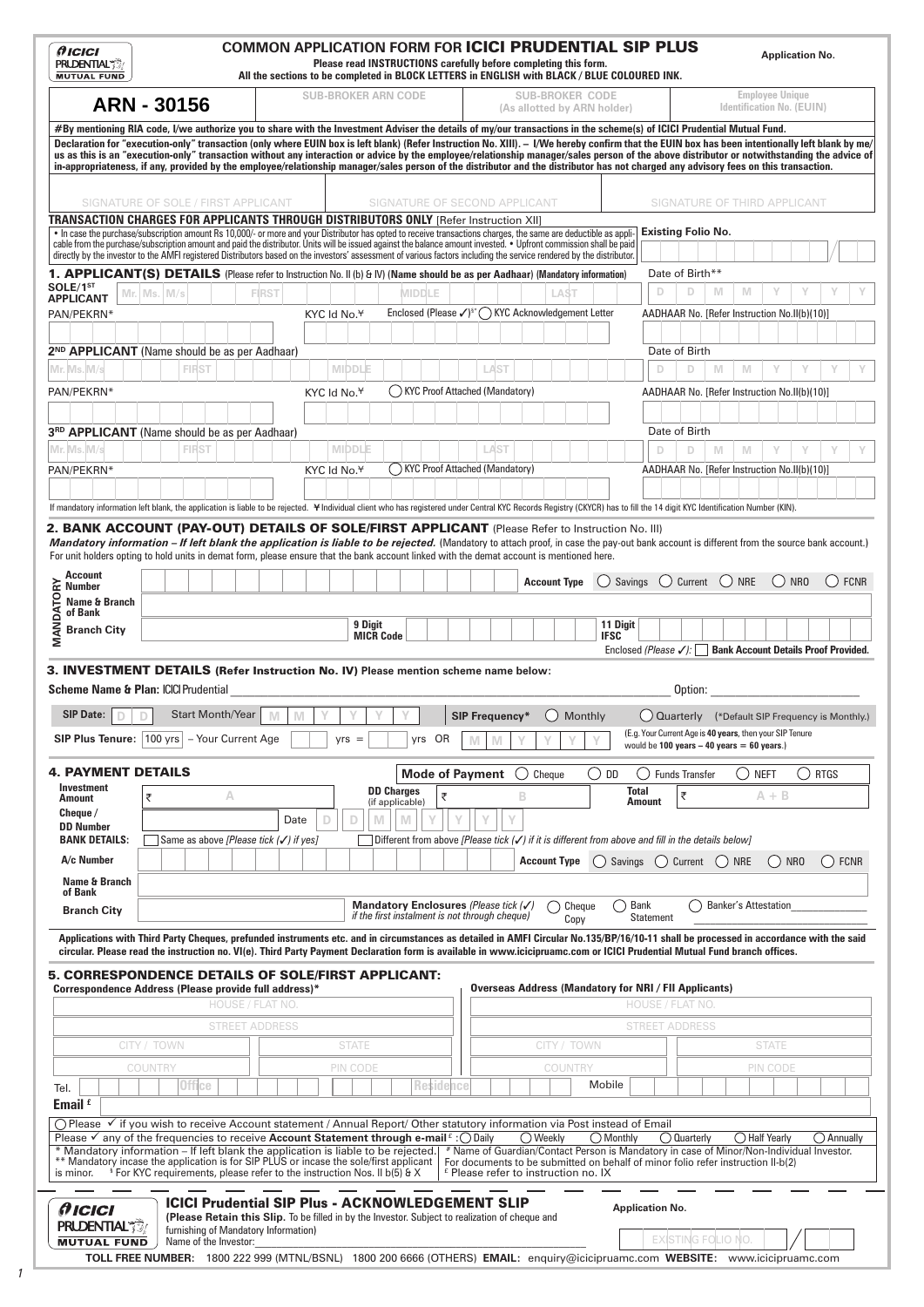|                                                                                                                                                                                                                                                                                                                                                                                                                                                                                                                                                                                                                                                                                                                                                                                                                                                                                                                                                                                                                                                                                        |                                                                                     |   |                                           |   |                                          |                             | Please read INSTRUCTIONS carefully before completing this form.<br>All the sections to be completed in BLOCK LETTERS in ENGLISH with BLACK / BLUE COLOURED INK. |           | <b>COMMON APPLICATION FORM FOR ICICI PRUDENTIAL SIP PLUS</b>                                                                                                                                                                    |   |                                                       |         |                        |                                                              |                                                 |                                                                                                                       |   |            |                                   | <b>Application No.</b>           |                      |
|----------------------------------------------------------------------------------------------------------------------------------------------------------------------------------------------------------------------------------------------------------------------------------------------------------------------------------------------------------------------------------------------------------------------------------------------------------------------------------------------------------------------------------------------------------------------------------------------------------------------------------------------------------------------------------------------------------------------------------------------------------------------------------------------------------------------------------------------------------------------------------------------------------------------------------------------------------------------------------------------------------------------------------------------------------------------------------------|-------------------------------------------------------------------------------------|---|-------------------------------------------|---|------------------------------------------|-----------------------------|-----------------------------------------------------------------------------------------------------------------------------------------------------------------|-----------|---------------------------------------------------------------------------------------------------------------------------------------------------------------------------------------------------------------------------------|---|-------------------------------------------------------|---------|------------------------|--------------------------------------------------------------|-------------------------------------------------|-----------------------------------------------------------------------------------------------------------------------|---|------------|-----------------------------------|----------------------------------|----------------------|
|                                                                                                                                                                                                                                                                                                                                                                                                                                                                                                                                                                                                                                                                                                                                                                                                                                                                                                                                                                                                                                                                                        | <b>ARN - 30156</b>                                                                  |   |                                           |   | <b>SUB-BROKER ARN CODE</b>               |                             |                                                                                                                                                                 |           |                                                                                                                                                                                                                                 |   | <b>SUB-BROKER CODE</b><br>(As allotted by ARN holder) |         |                        |                                                              |                                                 |                                                                                                                       |   |            | <b>Employee Unique</b>            | <b>Identification No. (EUIN)</b> |                      |
| #By mentioning RIA code, I/we authorize you to share with the Investment Adviser the details of my/our transactions in the scheme(s) of ICICI Prudential Mutual Fund.<br>Declaration for "execution-only" transaction (only where EUIN box is left blank) (Refer Instruction No. XIII). - I/We hereby confirm that the EUIN box has been intentionally left blank by me/<br>us as this is an "execution-only" transaction without any interaction or advice by the employee/relationship manager/sales person of the above distributor or notwithstanding the advice of<br>in-appropriateness, if any, provided by the employee/relationship manager/sales person of the distributor and the distributor has not charged any advisory fees on this transaction.                                                                                                                                                                                                                                                                                                                        |                                                                                     |   |                                           |   |                                          |                             |                                                                                                                                                                 |           |                                                                                                                                                                                                                                 |   |                                                       |         |                        |                                                              |                                                 |                                                                                                                       |   |            |                                   |                                  |                      |
|                                                                                                                                                                                                                                                                                                                                                                                                                                                                                                                                                                                                                                                                                                                                                                                                                                                                                                                                                                                                                                                                                        | SIGNATURE OF SOLE / FIRST APPLICANT                                                 |   |                                           |   |                                          |                             | SIGNATURE OF SECOND APPLICANT                                                                                                                                   |           |                                                                                                                                                                                                                                 |   |                                                       |         |                        |                                                              |                                                 | SIGNATURE OF THIRD APPLICANT                                                                                          |   |            |                                   |                                  |                      |
| TRANSACTION CHARGES FOR APPLICANTS THROUGH DISTRIBUTORS ONLY [Refer Instruction XII]<br>. In case the purchase/subscription amount Rs 10,000/- or more and your Distributor has opted to receive transactions charges, the same are deductible as appli-<br>cable from the purchase/subscription amount and paid the distributor. Units will be issued against the balance amount invested. • Upfront commission shall be paid<br>directly by the investor to the AMFI registered Distributors based on the investors' assessment of various factors including the service rendered by the distributor.                                                                                                                                                                                                                                                                                                                                                                                                                                                                                |                                                                                     |   |                                           |   |                                          |                             |                                                                                                                                                                 |           |                                                                                                                                                                                                                                 |   |                                                       |         |                        |                                                              |                                                 | Existing Folio No.                                                                                                    |   |            |                                   |                                  |                      |
| 1. APPLICANT(S) DETAILS (Please refer to Instruction No. II (b) & IV) (Name should be as per Aadhaar) (Mandatory information)<br>SOLE/1ST                                                                                                                                                                                                                                                                                                                                                                                                                                                                                                                                                                                                                                                                                                                                                                                                                                                                                                                                              |                                                                                     |   |                                           |   |                                          |                             |                                                                                                                                                                 |           |                                                                                                                                                                                                                                 |   |                                                       |         |                        |                                                              | D                                               | Date of Birth**<br>D                                                                                                  | M | M          |                                   |                                  |                      |
| <b>APPLICANT</b><br>PAN/PEKRN*                                                                                                                                                                                                                                                                                                                                                                                                                                                                                                                                                                                                                                                                                                                                                                                                                                                                                                                                                                                                                                                         | Mr. Ms. M/s                                                                         |   | <b>FIRST</b>                              |   | KYC Id No. <sup>¥</sup>                  |                             | <b>MIDDLE</b><br>Enclosed (Please √) <sup>§*</sup> ( KYC Acknowledgement Letter                                                                                 |           |                                                                                                                                                                                                                                 |   |                                                       | LAST    |                        |                                                              |                                                 | AADHAAR No. [Refer Instruction No.II(b)(10)]                                                                          |   |            |                                   |                                  |                      |
| 2 <sup>ND</sup> APPLICANT (Name should be as per Aadhaar)                                                                                                                                                                                                                                                                                                                                                                                                                                                                                                                                                                                                                                                                                                                                                                                                                                                                                                                                                                                                                              |                                                                                     |   |                                           |   |                                          |                             |                                                                                                                                                                 |           |                                                                                                                                                                                                                                 |   |                                                       |         |                        |                                                              |                                                 | Date of Birth                                                                                                         |   |            |                                   |                                  |                      |
| Mr. Ms. M/s<br>PAN/PEKRN*                                                                                                                                                                                                                                                                                                                                                                                                                                                                                                                                                                                                                                                                                                                                                                                                                                                                                                                                                                                                                                                              | <b>FIRST</b>                                                                        |   |                                           |   | <b>MIDDLE</b><br>KYC Id No. <sup>¥</sup> |                             | KYC Proof Attached (Mandatory)                                                                                                                                  |           | LAST                                                                                                                                                                                                                            |   |                                                       |         |                        |                                                              | D                                               | D<br>AADHAAR No. [Refer Instruction No.II(b)(10)]                                                                     | M | M          | Υ                                 |                                  |                      |
|                                                                                                                                                                                                                                                                                                                                                                                                                                                                                                                                                                                                                                                                                                                                                                                                                                                                                                                                                                                                                                                                                        |                                                                                     |   |                                           |   |                                          |                             |                                                                                                                                                                 |           |                                                                                                                                                                                                                                 |   |                                                       |         |                        |                                                              |                                                 |                                                                                                                       |   |            |                                   |                                  |                      |
| 3RD APPLICANT (Name should be as per Aadhaar)                                                                                                                                                                                                                                                                                                                                                                                                                                                                                                                                                                                                                                                                                                                                                                                                                                                                                                                                                                                                                                          |                                                                                     |   |                                           |   |                                          |                             |                                                                                                                                                                 |           |                                                                                                                                                                                                                                 |   |                                                       |         |                        |                                                              |                                                 | Date of Birth                                                                                                         |   |            |                                   |                                  |                      |
| Mr. Ms. M/s<br>PAN/PEKRN*                                                                                                                                                                                                                                                                                                                                                                                                                                                                                                                                                                                                                                                                                                                                                                                                                                                                                                                                                                                                                                                              | <b>FIRST</b>                                                                        |   |                                           |   | <b>MIDDLE</b><br>KYC Id No. <sup>¥</sup> |                             | () KYC Proof Attached (Mandatory)                                                                                                                               |           | LAST                                                                                                                                                                                                                            |   |                                                       |         |                        |                                                              | D                                               | D<br>AADHAAR No. [Refer Instruction No.II(b)(10)]                                                                     | M | M          | Υ                                 |                                  |                      |
|                                                                                                                                                                                                                                                                                                                                                                                                                                                                                                                                                                                                                                                                                                                                                                                                                                                                                                                                                                                                                                                                                        |                                                                                     |   |                                           |   |                                          |                             |                                                                                                                                                                 |           |                                                                                                                                                                                                                                 |   |                                                       |         |                        |                                                              |                                                 |                                                                                                                       |   |            |                                   |                                  |                      |
| If mandatory information left blank, the application is liable to be rejected. ¥Individual client who has registered under Central KYC Records Registry (CKYCR) has to fill the 14 digit KYC Identification Number (KIN).                                                                                                                                                                                                                                                                                                                                                                                                                                                                                                                                                                                                                                                                                                                                                                                                                                                              |                                                                                     |   |                                           |   |                                          |                             |                                                                                                                                                                 |           |                                                                                                                                                                                                                                 |   |                                                       |         |                        |                                                              |                                                 |                                                                                                                       |   |            |                                   |                                  |                      |
| 2. BANK ACCOUNT (PAY-OUT) DETAILS OF SOLE/FIRST APPLICANT (Please Refer to Instruction No. III)<br>Mandatory information – If left blank the application is liable to be rejected. (Mandatory to attach proof, in case the pay-out bank account is different from the source bank account.)<br>For unit holders opting to hold units in demat form, please ensure that the bank account linked with the demat account is mentioned here.<br><b>Account</b>                                                                                                                                                                                                                                                                                                                                                                                                                                                                                                                                                                                                                             |                                                                                     |   |                                           |   |                                          |                             |                                                                                                                                                                 |           |                                                                                                                                                                                                                                 |   |                                                       |         |                        |                                                              |                                                 |                                                                                                                       |   |            |                                   |                                  |                      |
| Name & Branch                                                                                                                                                                                                                                                                                                                                                                                                                                                                                                                                                                                                                                                                                                                                                                                                                                                                                                                                                                                                                                                                          |                                                                                     |   |                                           |   |                                          |                             |                                                                                                                                                                 |           |                                                                                                                                                                                                                                 |   | <b>Account Type</b>                                   |         |                        | Savings                                                      |                                                 | Current                                                                                                               |   | <b>NRE</b> | ( )NRO                            |                                  | <b>FCNR</b><br>$($ ) |
| <b>Branch City</b>                                                                                                                                                                                                                                                                                                                                                                                                                                                                                                                                                                                                                                                                                                                                                                                                                                                                                                                                                                                                                                                                     |                                                                                     |   |                                           |   |                                          | 9 Digit<br><b>MICR Code</b> |                                                                                                                                                                 |           |                                                                                                                                                                                                                                 |   |                                                       |         | <b>IFSC</b>            | 11 Digit                                                     |                                                 |                                                                                                                       |   |            |                                   |                                  |                      |
| <b>Scheme Name &amp; Plan: ICICI Prudential</b><br><b>SIP Date:</b><br>D<br><b>SIP Plus Tenure:</b> 100 yrs   - Your Current Age                                                                                                                                                                                                                                                                                                                                                                                                                                                                                                                                                                                                                                                                                                                                                                                                                                                                                                                                                       | <b>Start Month/Year</b>                                                             |   | M                                         | M | $yrs =$                                  |                             |                                                                                                                                                                 |           | <b>SIP Frequency*</b>                                                                                                                                                                                                           |   | ( )                                                   | Monthly |                        |                                                              | would be $100$ vears $-40$ vears $= 60$ vears.) | Option:<br>Quarterly (*Default SIP Frequency is Monthly.)<br>(E.g. Your Current Age is 40 years, then your SIP Tenure |   |            |                                   |                                  |                      |
| 4. PAYMENT DETAILS                                                                                                                                                                                                                                                                                                                                                                                                                                                                                                                                                                                                                                                                                                                                                                                                                                                                                                                                                                                                                                                                     |                                                                                     |   |                                           |   |                                          |                             |                                                                                                                                                                 | yrs OR    |                                                                                                                                                                                                                                 |   |                                                       |         |                        |                                                              |                                                 |                                                                                                                       |   |            |                                   |                                  |                      |
|                                                                                                                                                                                                                                                                                                                                                                                                                                                                                                                                                                                                                                                                                                                                                                                                                                                                                                                                                                                                                                                                                        |                                                                                     |   |                                           |   |                                          |                             |                                                                                                                                                                 |           | <b>Mode of Payment</b>                                                                                                                                                                                                          |   | Cheque                                                |         | ( ) DD                 |                                                              |                                                 | <b>Funds Transfer</b>                                                                                                 |   | ()         | <b>NEFT</b>                       | $\bigcirc$ rtgs                  |                      |
|                                                                                                                                                                                                                                                                                                                                                                                                                                                                                                                                                                                                                                                                                                                                                                                                                                                                                                                                                                                                                                                                                        | ₹                                                                                   | А |                                           |   |                                          | <b>DD Charges</b>           | (if applicable)                                                                                                                                                 | ₹         |                                                                                                                                                                                                                                 | B |                                                       |         |                        | <b>Total</b><br>Amount                                       |                                                 | ₹                                                                                                                     |   |            | $A + B$                           |                                  |                      |
|                                                                                                                                                                                                                                                                                                                                                                                                                                                                                                                                                                                                                                                                                                                                                                                                                                                                                                                                                                                                                                                                                        |                                                                                     |   | Date                                      | D | D                                        | M                           | M                                                                                                                                                               |           |                                                                                                                                                                                                                                 |   |                                                       |         |                        |                                                              |                                                 |                                                                                                                       |   |            |                                   |                                  |                      |
|                                                                                                                                                                                                                                                                                                                                                                                                                                                                                                                                                                                                                                                                                                                                                                                                                                                                                                                                                                                                                                                                                        | Same as above [Please tick (√) if yes]                                              |   |                                           |   |                                          |                             | Different from above [Please tick $(\checkmark)$ if it is different from above and fill in the details below]                                                   |           |                                                                                                                                                                                                                                 |   |                                                       |         |                        |                                                              |                                                 |                                                                                                                       |   |            |                                   |                                  |                      |
|                                                                                                                                                                                                                                                                                                                                                                                                                                                                                                                                                                                                                                                                                                                                                                                                                                                                                                                                                                                                                                                                                        |                                                                                     |   |                                           |   |                                          |                             |                                                                                                                                                                 |           |                                                                                                                                                                                                                                 |   | <b>Account Type</b>                                   |         | $\left( \quad \right)$ | Savings ( ) Current ( ) NRE                                  |                                                 |                                                                                                                       |   |            | $\left( \quad \right)$            | NR <sub>0</sub>                  | <b>FCNR</b>          |
|                                                                                                                                                                                                                                                                                                                                                                                                                                                                                                                                                                                                                                                                                                                                                                                                                                                                                                                                                                                                                                                                                        |                                                                                     |   |                                           |   |                                          |                             | Mandatory Enclosures (Please tick (√<br>if the first instalment is not through cheque)                                                                          |           |                                                                                                                                                                                                                                 |   |                                                       | Cheque  |                        | ( ) Bank                                                     |                                                 |                                                                                                                       |   |            | <b>Banker's Attestation</b>       |                                  |                      |
|                                                                                                                                                                                                                                                                                                                                                                                                                                                                                                                                                                                                                                                                                                                                                                                                                                                                                                                                                                                                                                                                                        |                                                                                     |   |                                           |   |                                          |                             |                                                                                                                                                                 |           |                                                                                                                                                                                                                                 |   |                                                       | Copy    |                        |                                                              | <b>Statement</b>                                |                                                                                                                       |   |            |                                   |                                  |                      |
|                                                                                                                                                                                                                                                                                                                                                                                                                                                                                                                                                                                                                                                                                                                                                                                                                                                                                                                                                                                                                                                                                        |                                                                                     |   |                                           |   |                                          |                             |                                                                                                                                                                 |           |                                                                                                                                                                                                                                 |   |                                                       |         |                        | <b>Overseas Address (Mandatory for NRI / FII Applicants)</b> |                                                 |                                                                                                                       |   |            |                                   |                                  |                      |
|                                                                                                                                                                                                                                                                                                                                                                                                                                                                                                                                                                                                                                                                                                                                                                                                                                                                                                                                                                                                                                                                                        |                                                                                     |   | HOUSE / FLAT NO.<br><b>STREET ADDRESS</b> |   |                                          |                             |                                                                                                                                                                 |           |                                                                                                                                                                                                                                 |   |                                                       |         |                        |                                                              |                                                 | HOUSE / FLAT NO<br><b>STREET ADDRESS</b>                                                                              |   |            |                                   |                                  |                      |
|                                                                                                                                                                                                                                                                                                                                                                                                                                                                                                                                                                                                                                                                                                                                                                                                                                                                                                                                                                                                                                                                                        | CITY / TOWN                                                                         |   |                                           |   | <b>STATE</b>                             |                             |                                                                                                                                                                 |           |                                                                                                                                                                                                                                 |   | CITY / TOWN                                           |         |                        |                                                              |                                                 |                                                                                                                       |   |            | <b>STATE</b>                      |                                  |                      |
|                                                                                                                                                                                                                                                                                                                                                                                                                                                                                                                                                                                                                                                                                                                                                                                                                                                                                                                                                                                                                                                                                        | COUNTRY                                                                             |   |                                           |   | PIN CODE                                 |                             |                                                                                                                                                                 |           |                                                                                                                                                                                                                                 |   |                                                       | COUNTRY |                        |                                                              |                                                 |                                                                                                                       |   |            | PIN CODE                          |                                  |                      |
|                                                                                                                                                                                                                                                                                                                                                                                                                                                                                                                                                                                                                                                                                                                                                                                                                                                                                                                                                                                                                                                                                        | Office                                                                              |   |                                           |   |                                          |                             |                                                                                                                                                                 | Residence |                                                                                                                                                                                                                                 |   |                                                       |         | Mobile                 |                                                              |                                                 |                                                                                                                       |   |            |                                   |                                  |                      |
| Investment<br>Amount<br>Cheque /<br><b>DD Number</b><br><b>BANK DETAILS:</b><br>A/c Number<br>Name & Branch<br>of Bank<br><b>Branch City</b><br>Applications with Third Party Cheques, prefunded instruments etc. and in circumstances as detailed in AMFI Circular No.135/BP/16/10-11 shall be processed in accordance with the said<br>circular. Please read the instruction no. VI(e). Third Party Payment Declaration form is available in www.icicipruamc.com or ICICI Prudential Mutual Fund branch offices.<br>5. CORRESPONDENCE DETAILS OF SOLE/FIRST APPLICANT:<br>Correspondence Address (Please provide full address)*<br>Tel.<br>Email $f$<br>○ Please V if you wish to receive Account statement / Annual Report/ Other statutory information via Post instead of Email<br>Please $\checkmark$ any of the frequencies to receive Account Statement through e-mail $f:$ Olaily<br>* Mandatory information - If left blank the application is liable to be rejected.<br>** Mandatory incase the application is for SIP PLUS or incase the sole/first applicant<br>is minor. | <sup>§</sup> For KYC requirements, please refer to the instruction Nos. II b(5) & X |   |                                           |   |                                          |                             |                                                                                                                                                                 |           | * Name of Guardian/Contact Person is Mandatory in case of Minor/Non-Individual Investor.<br>For documents to be submitted on behalf of minor folio refer instruction II-b(2)<br><sup>£</sup> Please refer to instruction no. IX |   | ◯ Weekly                                              |         | ◯ Monthly              |                                                              |                                                 | ◯ Quarterly                                                                                                           |   |            | $\overline{\bigcirc}$ Half Yearly |                                  | $\bigcirc$ Annually  |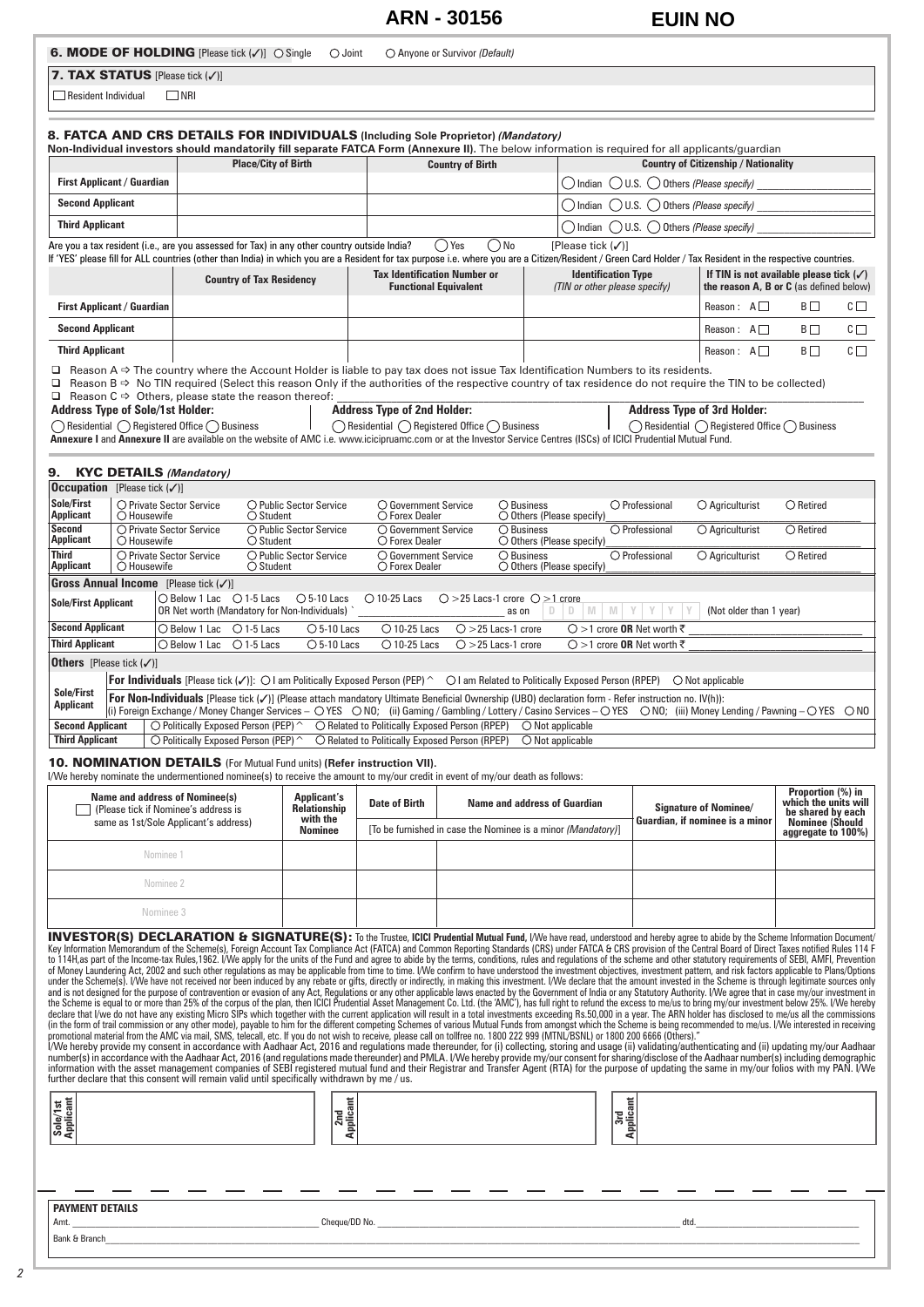## **ARN - 30156 EUIN NO**

| 7. TAX STATUS [Please tick $(\checkmark)$ ]<br>$\square$ NRI<br>$\Box$ Resident Individual<br>8. FATCA AND CRS DETAILS FOR INDIVIDUALS (Including Sole Proprietor) (Mandatory)<br>Non-Individual investors should mandatorily fill separate FATCA Form (Annexure II). The below information is required for all applicants/guardian<br><b>First Applicant / Guardian</b><br><b>Second Applicant</b> |                                                                                                                                                                                                                                                                                                                                      |                                              |                                                                      |                                     |                                                              |                                                                               |                          |                                                                      |                    |                                                                                                      |                    |
|-----------------------------------------------------------------------------------------------------------------------------------------------------------------------------------------------------------------------------------------------------------------------------------------------------------------------------------------------------------------------------------------------------|--------------------------------------------------------------------------------------------------------------------------------------------------------------------------------------------------------------------------------------------------------------------------------------------------------------------------------------|----------------------------------------------|----------------------------------------------------------------------|-------------------------------------|--------------------------------------------------------------|-------------------------------------------------------------------------------|--------------------------|----------------------------------------------------------------------|--------------------|------------------------------------------------------------------------------------------------------|--------------------|
|                                                                                                                                                                                                                                                                                                                                                                                                     |                                                                                                                                                                                                                                                                                                                                      |                                              |                                                                      |                                     |                                                              |                                                                               |                          |                                                                      |                    |                                                                                                      |                    |
|                                                                                                                                                                                                                                                                                                                                                                                                     |                                                                                                                                                                                                                                                                                                                                      |                                              |                                                                      |                                     |                                                              |                                                                               |                          |                                                                      |                    |                                                                                                      |                    |
|                                                                                                                                                                                                                                                                                                                                                                                                     |                                                                                                                                                                                                                                                                                                                                      |                                              |                                                                      |                                     |                                                              |                                                                               |                          |                                                                      |                    |                                                                                                      |                    |
|                                                                                                                                                                                                                                                                                                                                                                                                     |                                                                                                                                                                                                                                                                                                                                      | <b>Place/City of Birth</b>                   |                                                                      | <b>Country of Birth</b>             |                                                              |                                                                               |                          | <b>Country of Citizenship / Nationality</b>                          |                    |                                                                                                      |                    |
|                                                                                                                                                                                                                                                                                                                                                                                                     |                                                                                                                                                                                                                                                                                                                                      |                                              |                                                                      |                                     |                                                              |                                                                               |                          | () Indian () U.S. () Others (Please specify)                         |                    |                                                                                                      |                    |
|                                                                                                                                                                                                                                                                                                                                                                                                     |                                                                                                                                                                                                                                                                                                                                      |                                              |                                                                      |                                     |                                                              | ( ) Indian                                                                    |                          | $\bigcirc$ U.S. $\bigcirc$ Others (Please specify)                   |                    |                                                                                                      |                    |
| <b>Third Applicant</b>                                                                                                                                                                                                                                                                                                                                                                              |                                                                                                                                                                                                                                                                                                                                      |                                              |                                                                      |                                     |                                                              | ( )Indian                                                                     |                          | $\bigcirc$ U.S. $\bigcirc$ Others (Please specify)                   |                    |                                                                                                      |                    |
| Are you a tax resident (i.e., are you assessed for Tax) in any other country outside India?                                                                                                                                                                                                                                                                                                         |                                                                                                                                                                                                                                                                                                                                      |                                              |                                                                      | () Yes                              | ( ) No                                                       | [Please tick (√)]                                                             |                          |                                                                      |                    |                                                                                                      |                    |
| If 'YES' please fill for ALL countries (other than India) in which you are a Resident for tax purpose i.e. where you are a Citizen/Resident / Green Card Holder / Tax Resident in the respective countries.                                                                                                                                                                                         | <b>Country of Tax Residency</b>                                                                                                                                                                                                                                                                                                      |                                              | <b>Tax Identification Number or</b>                                  | <b>Functional Equivalent</b>        |                                                              | <b>Identification Type</b><br>(TIN or other please specify)                   |                          |                                                                      |                    | If TIN is not available please tick $(\checkmark)$<br>the reason $A$ , $B$ or $C$ (as defined below) |                    |
| <b>First Applicant / Guardian</b>                                                                                                                                                                                                                                                                                                                                                                   |                                                                                                                                                                                                                                                                                                                                      |                                              |                                                                      |                                     |                                                              |                                                                               |                          | Reason: $A \Box$                                                     |                    | BΠ                                                                                                   | $C \Box$           |
| <b>Second Applicant</b>                                                                                                                                                                                                                                                                                                                                                                             |                                                                                                                                                                                                                                                                                                                                      |                                              |                                                                      |                                     |                                                              |                                                                               |                          | Reason: $A \Box$                                                     |                    | $B\square$                                                                                           | $\complement \Box$ |
| <b>Third Applicant</b>                                                                                                                                                                                                                                                                                                                                                                              |                                                                                                                                                                                                                                                                                                                                      |                                              |                                                                      |                                     |                                                              |                                                                               |                          | Reason: $A \Box$                                                     |                    | $B\square$                                                                                           | $C \Box$           |
| $\Box$ Reason A $\Rightarrow$ The country where the Account Holder is liable to pay tax does not issue Tax Identification Numbers to its residents.                                                                                                                                                                                                                                                 |                                                                                                                                                                                                                                                                                                                                      |                                              |                                                                      |                                     |                                                              |                                                                               |                          |                                                                      |                    |                                                                                                      |                    |
| □ Reason B ⇒ No TIN required (Select this reason Only if the authorities of the respective country of tax residence do not require the TIN to be collected)<br>$\Box$ Reason C $\Rightarrow$ Others, please state the reason thereof:                                                                                                                                                               |                                                                                                                                                                                                                                                                                                                                      |                                              |                                                                      |                                     |                                                              |                                                                               |                          |                                                                      |                    |                                                                                                      |                    |
| <b>Address Type of Sole/1st Holder:</b>                                                                                                                                                                                                                                                                                                                                                             |                                                                                                                                                                                                                                                                                                                                      |                                              | <b>Address Type of 2nd Holder:</b>                                   |                                     |                                                              |                                                                               |                          | <b>Address Type of 3rd Holder:</b>                                   |                    |                                                                                                      |                    |
| $\bigcap$ Residential $\bigcap$ Registered Office $\bigcap$ Business<br>Annexure I and Annexure II are available on the website of AMC i.e. www.icicipruamc.com or at the Investor Service Centres (ISCs) of ICICI Prudential Mutual Fund.                                                                                                                                                          |                                                                                                                                                                                                                                                                                                                                      |                                              | $\bigcap$ Residential $\bigcap$ Registered Office $\bigcap$ Business |                                     |                                                              |                                                                               |                          | $\bigcap$ Residential $\bigcap$ Registered Office $\bigcap$ Business |                    |                                                                                                      |                    |
|                                                                                                                                                                                                                                                                                                                                                                                                     |                                                                                                                                                                                                                                                                                                                                      |                                              |                                                                      |                                     |                                                              |                                                                               |                          |                                                                      |                    |                                                                                                      |                    |
| <b>KYC DETAILS (Mandatory)</b><br>9.                                                                                                                                                                                                                                                                                                                                                                |                                                                                                                                                                                                                                                                                                                                      |                                              |                                                                      |                                     |                                                              |                                                                               |                          |                                                                      |                    |                                                                                                      |                    |
| <b>Occupation</b> [Please tick $(\checkmark)$ ]<br>Sole/First                                                                                                                                                                                                                                                                                                                                       |                                                                                                                                                                                                                                                                                                                                      |                                              |                                                                      |                                     |                                                              |                                                                               |                          |                                                                      |                    |                                                                                                      |                    |
| O Private Sector Service<br><b>Applicant</b><br>O Housewife                                                                                                                                                                                                                                                                                                                                         | $\bigcirc$ Student                                                                                                                                                                                                                                                                                                                   | $\bigcirc$ Public Sector Service             | $\bigcirc$ Government Service<br>$\bigcirc$ Forex Dealer             |                                     | $\bigcirc$ Business<br>$\bigcirc$ Others (Please specify)    |                                                                               | O Professional           | $\bigcirc$ Agriculturist                                             |                    | $\bigcirc$ Retired                                                                                   |                    |
| <b>Second</b><br>○ Private Sector Service<br>Applicant<br>O Housewife                                                                                                                                                                                                                                                                                                                               | $\bigcirc$ Student                                                                                                                                                                                                                                                                                                                   | ○ Public Sector Service                      | O Government Service<br>$\bigcirc$ Forex Dealer                      |                                     | $\bigcirc$ Business<br>$\bigcirc$ Others (Please specify)    |                                                                               | O Professional           | $\bigcirc$ Agriculturist                                             | $\bigcirc$ Retired |                                                                                                      |                    |
| Third<br>O Private Sector Service<br>Applicant<br>O Housewife                                                                                                                                                                                                                                                                                                                                       | $\bigcirc$ Student                                                                                                                                                                                                                                                                                                                   | O Public Sector Service                      | $\bigcirc$ Government Service<br>$\bigcirc$ Forex Dealer             |                                     | $\bigcirc$ Business<br>$\bigcirc$ Others (Please specify)    |                                                                               | $\bigcirc$ Professional  | $\bigcirc$ Agriculturist                                             |                    | $\bigcirc$ Retired                                                                                   |                    |
| <b>Gross Annual Income</b> [Please tick $(\checkmark)$ ]                                                                                                                                                                                                                                                                                                                                            |                                                                                                                                                                                                                                                                                                                                      |                                              |                                                                      |                                     |                                                              |                                                                               |                          |                                                                      |                    |                                                                                                      |                    |
| <b>Sole/First Applicant</b>                                                                                                                                                                                                                                                                                                                                                                         | $\bigcirc$ Below 1 Lac $\bigcirc$ 1-5 Lacs                                                                                                                                                                                                                                                                                           | $\bigcirc$ 5-10 Lacs                         | $\bigcirc$ 10-25 Lacs                                                |                                     | $\bigcirc$ >25 Lacs-1 crore $\bigcirc$ >1 crore              |                                                                               |                          |                                                                      |                    |                                                                                                      |                    |
| <b>Second Applicant</b>                                                                                                                                                                                                                                                                                                                                                                             | OR Net worth (Mandatory for Non-Individuals) `                                                                                                                                                                                                                                                                                       |                                              |                                                                      |                                     | D.<br>as on                                                  | M<br>M<br>D                                                                   | $\mathbf{Y}$<br>Y<br>I Y | (Not older than 1 year)                                              |                    |                                                                                                      |                    |
| <b>Third Applicant</b>                                                                                                                                                                                                                                                                                                                                                                              | $\bigcirc$ 1-5 Lacs<br>$\bigcirc$ Below 1 Lac<br>$\bigcirc$ Below 1 Lac<br>$\bigcirc$ 1-5 Lacs                                                                                                                                                                                                                                       | $\bigcirc$ 5-10 Lacs<br>$\bigcirc$ 5-10 Lacs | $\bigcirc$ 10-25 Lacs<br>$\bigcirc$ 10-25 Lacs                       |                                     | $O > 25$ Lacs-1 crore<br>$O > 25$ Lacs-1 crore               | ◯ > 1 crore OR Net worth $\bar{\tau}$<br>◯ >1 crore OR Net worth $\bar{\tau}$ |                          |                                                                      |                    |                                                                                                      |                    |
| <b>Others</b> [Please tick $(\checkmark)$ ]                                                                                                                                                                                                                                                                                                                                                         |                                                                                                                                                                                                                                                                                                                                      |                                              |                                                                      |                                     |                                                              |                                                                               |                          |                                                                      |                    |                                                                                                      |                    |
|                                                                                                                                                                                                                                                                                                                                                                                                     | For Individuals [Please tick $(\checkmark)$ ]: $\bigcirc$ I am Politically Exposed Person (PEP) $\hat{ }$ $\bigcirc$ I am Related to Politically Exposed Person (RPEP)                                                                                                                                                               |                                              |                                                                      |                                     |                                                              |                                                                               |                          | $\bigcirc$ Not applicable                                            |                    |                                                                                                      |                    |
| <b>Sole/First</b><br><b>Applicant</b>                                                                                                                                                                                                                                                                                                                                                               | For Non-Individuals [Please tick $(\checkmark)$ ] (Please attach mandatory Ultimate Beneficial Ownership (UBO) declaration form - Refer instruction no. IV(h)):<br>(i) Foreign Exchange / Money Changer Services - OYES ONO; (ii) Gaming / Gambling / Lottery / Casino Services - OYES ONO; (iii) Money Lending / Pawning - OYES ONO |                                              |                                                                      |                                     |                                                              |                                                                               |                          |                                                                      |                    |                                                                                                      |                    |
| Second Applicant   O Politically Exposed Person (PEP) ^ O Related to Politically Exposed Person (RPEP) O Not applicable                                                                                                                                                                                                                                                                             |                                                                                                                                                                                                                                                                                                                                      |                                              |                                                                      |                                     |                                                              |                                                                               |                          |                                                                      |                    |                                                                                                      |                    |
| <b>Third Applicant</b>                                                                                                                                                                                                                                                                                                                                                                              | $\bigcirc$ Politically Exposed Person (PEP) $\hat{\ }$                                                                                                                                                                                                                                                                               |                                              | ○ Related to Politically Exposed Person (RPEP)                       |                                     |                                                              | $\bigcirc$ Not applicable                                                     |                          |                                                                      |                    |                                                                                                      |                    |
| 10. NOMINATION DETAILS (For Mutual Fund units) (Refer instruction VII).                                                                                                                                                                                                                                                                                                                             |                                                                                                                                                                                                                                                                                                                                      |                                              |                                                                      |                                     |                                                              |                                                                               |                          |                                                                      |                    |                                                                                                      |                    |
| I/We hereby nominate the undermentioned nominee(s) to receive the amount to my/our credit in event of my/our death as follows:                                                                                                                                                                                                                                                                      |                                                                                                                                                                                                                                                                                                                                      |                                              |                                                                      |                                     |                                                              |                                                                               |                          |                                                                      |                    | Proportion (%) in                                                                                    |                    |
| Name and address of Nominee(s)<br>(Please tick if Nominee's address is                                                                                                                                                                                                                                                                                                                              |                                                                                                                                                                                                                                                                                                                                      | <b>Applicant's</b><br>Relationship           | Date of Birth                                                        | <b>Name and address of Guardian</b> |                                                              |                                                                               |                          | <b>Signature of Nominee/</b>                                         |                    | which the units will<br>be shared by each                                                            |                    |
| same as 1st/Sole Applicant's address)                                                                                                                                                                                                                                                                                                                                                               |                                                                                                                                                                                                                                                                                                                                      | with the<br><b>Nominee</b>                   |                                                                      |                                     | [To be furnished in case the Nominee is a minor (Mandatory)] |                                                                               |                          | Guardian, if nominee is a minor                                      |                    | Nominee (Should<br>aggregate to 100%)                                                                |                    |
| Nominee 1                                                                                                                                                                                                                                                                                                                                                                                           |                                                                                                                                                                                                                                                                                                                                      |                                              |                                                                      |                                     |                                                              |                                                                               |                          |                                                                      |                    |                                                                                                      |                    |
|                                                                                                                                                                                                                                                                                                                                                                                                     |                                                                                                                                                                                                                                                                                                                                      |                                              |                                                                      |                                     |                                                              |                                                                               |                          |                                                                      |                    |                                                                                                      |                    |
| Nominee 2                                                                                                                                                                                                                                                                                                                                                                                           |                                                                                                                                                                                                                                                                                                                                      |                                              |                                                                      |                                     |                                                              |                                                                               |                          |                                                                      |                    |                                                                                                      |                    |
| Nominee 3                                                                                                                                                                                                                                                                                                                                                                                           |                                                                                                                                                                                                                                                                                                                                      |                                              |                                                                      |                                     |                                                              |                                                                               |                          |                                                                      |                    |                                                                                                      |                    |

**PAYMENT DETAILS**

 $\sf{Cheque/DD\ No.}$ 

Bank & Branch\_\_\_\_\_\_\_\_\_\_\_\_\_\_\_\_\_\_\_\_\_\_\_\_\_\_\_\_\_\_\_\_\_\_\_\_\_\_\_\_\_\_\_\_\_\_\_\_\_\_\_\_\_\_\_\_\_\_\_\_\_\_\_\_\_\_\_\_\_\_\_\_\_\_\_\_\_\_\_\_\_\_\_\_\_\_\_\_\_\_\_\_\_\_\_\_\_\_\_\_\_\_\_\_\_\_\_\_\_\_\_\_\_\_\_\_\_\_\_\_\_\_\_\_\_\_\_\_\_\_\_\_\_\_\_\_\_\_\_\_\_\_\_\_\_\_\_\_\_\_\_\_\_\_\_\_\_\_\_\_\_\_